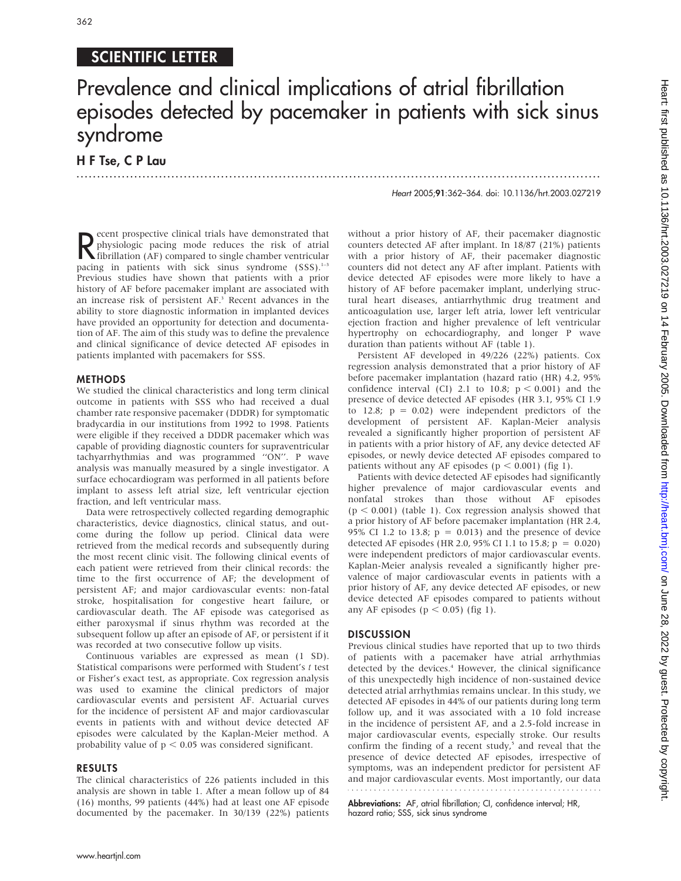## SCIENTIFIC LETTER

# Prevalence and clinical implications of atrial fibrillation episodes detected by pacemaker in patients with sick sinus syndrome

...............................................................................................................................

H F Tse, C P Lau

## Heart 2005;91:362–364. doi: 10.1136/hrt.2003.027219

Referred that<br>
the physiologic pacing mode reduces the risk of atrial<br>
fibrillation (AF) compared to single chamber ventricular<br>
pacing in patients, with sick sinus syndrome (SSS) <sup>1-3</sup> ecent prospective clinical trials have demonstrated that physiologic pacing mode reduces the risk of atrial pacing in patients with sick sinus syndrome  $(SSS)^{1-3}$ Previous studies have shown that patients with a prior history of AF before pacemaker implant are associated with an increase risk of persistent AF.<sup>3</sup> Recent advances in the ability to store diagnostic information in implanted devices have provided an opportunity for detection and documentation of AF. The aim of this study was to define the prevalence and clinical significance of device detected AF episodes in patients implanted with pacemakers for SSS.

#### METHODS

We studied the clinical characteristics and long term clinical outcome in patients with SSS who had received a dual chamber rate responsive pacemaker (DDDR) for symptomatic bradycardia in our institutions from 1992 to 1998. Patients were eligible if they received a DDDR pacemaker which was capable of providing diagnostic counters for supraventricular tachyarrhythmias and was programmed ''ON''. P wave analysis was manually measured by a single investigator. A surface echocardiogram was performed in all patients before implant to assess left atrial size, left ventricular ejection fraction, and left ventricular mass.

Data were retrospectively collected regarding demographic characteristics, device diagnostics, clinical status, and outcome during the follow up period. Clinical data were retrieved from the medical records and subsequently during the most recent clinic visit. The following clinical events of each patient were retrieved from their clinical records: the time to the first occurrence of AF; the development of persistent AF; and major cardiovascular events: non-fatal stroke, hospitalisation for congestive heart failure, or cardiovascular death. The AF episode was categorised as either paroxysmal if sinus rhythm was recorded at the subsequent follow up after an episode of AF, or persistent if it was recorded at two consecutive follow up visits.

Continuous variables are expressed as mean (1 SD). Statistical comparisons were performed with Student's t test or Fisher's exact test, as appropriate. Cox regression analysis was used to examine the clinical predictors of major cardiovascular events and persistent AF. Actuarial curves for the incidence of persistent AF and major cardiovascular events in patients with and without device detected AF episodes were calculated by the Kaplan-Meier method. A probability value of  $p < 0.05$  was considered significant.

#### RESULTS

The clinical characteristics of 226 patients included in this analysis are shown in table 1. After a mean follow up of 84 (16) months, 99 patients (44%) had at least one AF episode documented by the pacemaker. In 30/139 (22%) patients without a prior history of AF, their pacemaker diagnostic counters detected AF after implant. In 18/87 (21%) patients with a prior history of AF, their pacemaker diagnostic counters did not detect any AF after implant. Patients with device detected AF episodes were more likely to have a history of AF before pacemaker implant, underlying structural heart diseases, antiarrhythmic drug treatment and anticoagulation use, larger left atria, lower left ventricular ejection fraction and higher prevalence of left ventricular hypertrophy on echocardiography, and longer P wave duration than patients without AF (table 1).

Persistent AF developed in 49/226 (22%) patients. Cox regression analysis demonstrated that a prior history of AF before pacemaker implantation (hazard ratio (HR) 4.2, 95% confidence interval (CI) 2.1 to 10.8;  $p < 0.001$ ) and the presence of device detected AF episodes (HR 3.1, 95% CI 1.9 to 12.8;  $p = 0.02$ ) were independent predictors of the development of persistent AF. Kaplan-Meier analysis revealed a significantly higher proportion of persistent AF in patients with a prior history of AF, any device detected AF episodes, or newly device detected AF episodes compared to patients without any AF episodes ( $p < 0.001$ ) (fig 1).

Patients with device detected AF episodes had significantly higher prevalence of major cardiovascular events and nonfatal strokes than those without AF episodes  $(p < 0.001)$  (table 1). Cox regression analysis showed that a prior history of AF before pacemaker implantation (HR 2.4, 95% CI 1.2 to 13.8; p = 0.013) and the presence of device detected AF episodes (HR 2.0, 95% CI 1.1 to 15.8;  $p = 0.020$ ) were independent predictors of major cardiovascular events. Kaplan-Meier analysis revealed a significantly higher prevalence of major cardiovascular events in patients with a prior history of AF, any device detected AF episodes, or new device detected AF episodes compared to patients without any AF episodes ( $p < 0.05$ ) (fig 1).

#### **DISCUSSION**

Previous clinical studies have reported that up to two thirds of patients with a pacemaker have atrial arrhythmias detected by the devices.<sup>4</sup> However, the clinical significance of this unexpectedly high incidence of non-sustained device detected atrial arrhythmias remains unclear. In this study, we detected AF episodes in 44% of our patients during long term follow up, and it was associated with a 10 fold increase in the incidence of persistent AF, and a 2.5-fold increase in major cardiovascular events, especially stroke. Our results confirm the finding of a recent study,<sup>5</sup> and reveal that the presence of device detected AF episodes, irrespective of symptoms, was an independent predictor for persistent AF and major cardiovascular events. Most importantly, our data

Abbreviations: AF, atrial fibrillation; CI, confidence interval; HR, hazard ratio; SSS, sick sinus syndrome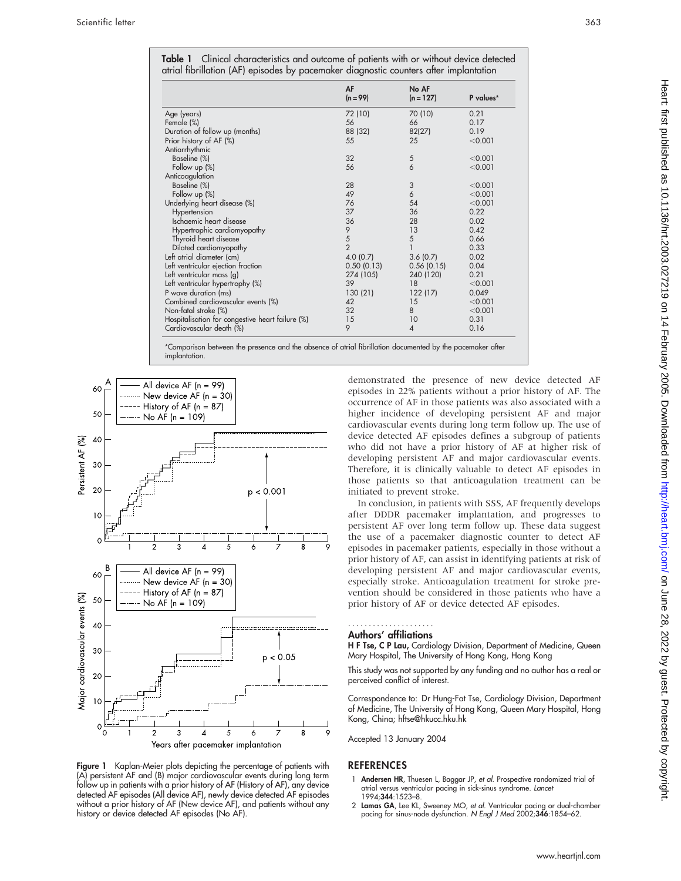|  |  |  | Table 1 Clinical characteristics and outcome of patients with or without device detected |  |
|--|--|--|------------------------------------------------------------------------------------------|--|
|  |  |  | atrial fibrillation (AF) episodes by pacemaker diagnostic counters after implantation    |  |

|                                                  | AF<br>$(n = 99)$ | No AF<br>$(n = 127)$ | P values* |
|--------------------------------------------------|------------------|----------------------|-----------|
| Age (years)                                      | 72 (10)          | 70 (10)              | 0.21      |
| Female (%)                                       | 56               | 66                   | 0.17      |
| Duration of follow up (months)                   | 88 (32)          | 82(27)               | 0.19      |
| Prior history of AF (%)                          | 55               | 25                   | < 0.001   |
| Antiarrhythmic                                   |                  |                      |           |
| Baseline (%)                                     | 32               | 5                    | < 0.001   |
| Follow up (%)                                    | 56               | 6                    | < 0.001   |
| Anticoagulation                                  |                  |                      |           |
| Baseline (%)                                     | 28               | 3                    | < 0.001   |
| Follow up (%)                                    | 49               | 6                    | < 0.001   |
| Underlying heart disease (%)                     | 76               | 54                   | < 0.001   |
| Hypertension                                     | 37               | 36                   | 0.22      |
| Ischaemic heart disease                          | 36               | 28                   | 0.02      |
| Hypertrophic cardiomyopathy                      | 9                | 13                   | 0.42      |
| Thyroid heart disease                            | 5                | 5                    | 0.66      |
| Dilated cardiomyopathy                           | $\overline{2}$   |                      | 0.33      |
| Left atrial diameter (cm)                        | 4.0(0.7)         | 3.6(0.7)             | 0.02      |
| Left ventricular ejection traction               | 0.50(0.13)       | 0.56(0.15)           | 0.04      |
| Left ventricular mass (g)                        | 274 (105)        | 240 (120)            | 0.21      |
| Left ventricular hypertrophy (%)                 | 39               | 18                   | < 0.001   |
| P wave duration (ms)                             | 130(21)          | 122(17)              | 0.049     |
| Combined cardiovascular events (%)               | 42               | 15                   | < 0.001   |
| Non-fatal stroke (%)                             | 32               | 8                    | < 0.001   |
| Hospitalisation for congestive heart failure (%) | 15               | 10                   | 0.31      |
| Cardiovascular death (%)                         | 9                | 4                    | 0.16      |
|                                                  |                  |                      |           |

\*Comparison between the presence and the absence of atrial fibrillation documented by the pacemaker after implantation.



**Figure 1** Kaplan-Meier plots depicting the percentage of patients with (A) persistent AF and (B) major cardiovascular events during long term follow up in patients with a prior history of AF (History of AF), any device detected AF episodes (All device AF), newly device detected AF episodes without a prior history of AF (New device AF), and patients without any history or device detected AF episodes (No AF).

demonstrated the presence of new device detected AF episodes in 22% patients without a prior history of AF. The occurrence of AF in those patients was also associated with a higher incidence of developing persistent AF and major cardiovascular events during long term follow up. The use of device detected AF episodes defines a subgroup of patients who did not have a prior history of AF at higher risk of developing persistent AF and major cardiovascular events. Therefore, it is clinically valuable to detect AF episodes in those patients so that anticoagulation treatment can be initiated to prevent stroke.

In conclusion, in patients with SSS, AF frequently develops after DDDR pacemaker implantation, and progresses to persistent AF over long term follow up. These data suggest the use of a pacemaker diagnostic counter to detect AF episodes in pacemaker patients, especially in those without a prior history of AF, can assist in identifying patients at risk of developing persistent AF and major cardiovascular events, especially stroke. Anticoagulation treatment for stroke prevention should be considered in those patients who have a prior history of AF or device detected AF episodes.

#### Authors' affiliations .....................

H F Tse, C P Lau, Cardiology Division, Department of Medicine, Queen Mary Hospital, The University of Hong Kong, Hong Kong

This study was not supported by any funding and no author has a real or perceived conflict of interest.

Correspondence to: Dr Hung-Fat Tse, Cardiology Division, Department of Medicine, The University of Hong Kong, Queen Mary Hospital, Hong Kong, China; hftse@hkucc.hku.hk

Accepted 13 January 2004

#### REFERENCES

- Andersen HR, Thuesen L, Baggar JP, et al. Prospective randomized trial of atrial versus ventricular pacing in sick-sinus syndrome. Lancet 1994;344:1523–8.
- 2 Lamas GA, Lee KL, Sweeney MO, et al. Ventricular pacing or dual-chamber pacing for sinus-node dysfunction. N Engl J Med 2002;346:1854–62.